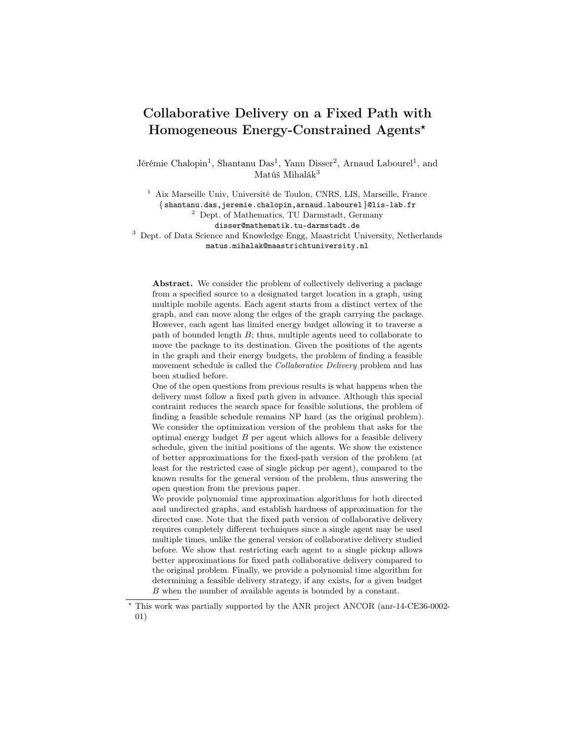# Collaborative Delivery on a Fixed Path with Homogeneous Energy-Constrained Agents?

Jérémie Chalopin<sup>1</sup>, Shantanu Das<sup>1</sup>, Yann Disser<sup>2</sup>, Arnaud Labourel<sup>1</sup>, and Matúš Mihalák<sup>3</sup>

<sup>1</sup> Aix Marseille Univ, Université de Toulon, CNRS, LIS, Marseille, France

{ shantanu.das,jeremie.chalopin,arnaud.labourel }@lis-lab.fr

<sup>2</sup> Dept. of Mathematics, TU Darmstadt, Germany

disser@mathematik.tu-darmstadt.de

<sup>3</sup> Dept. of Data Science and Knowledge Engg, Maastricht University, Netherlands matus.mihalak@maastrichtuniversity.nl

Abstract. We consider the problem of collectively delivering a package from a specified source to a designated target location in a graph, using multiple mobile agents. Each agent starts from a distinct vertex of the graph, and can move along the edges of the graph carrying the package. However, each agent has limited energy budget allowing it to traverse a path of bounded length B; thus, multiple agents need to collaborate to move the package to its destination. Given the positions of the agents in the graph and their energy budgets, the problem of finding a feasible movement schedule is called the Collaborative Delivery problem and has been studied before.

One of the open questions from previous results is what happens when the delivery must follow a fixed path given in advance. Although this special contraint reduces the search space for feasible solutions, the problem of finding a feasible schedule remains NP hard (as the original problem). We consider the optimization version of the problem that asks for the optimal energy budget  $B$  per agent which allows for a feasible delivery schedule, given the initial positions of the agents. We show the existence of better approximations for the fixed-path version of the problem (at least for the restricted case of single pickup per agent), compared to the known results for the general version of the problem, thus answering the open question from the previous paper.

We provide polynomial time approximation algorithms for both directed and undirected graphs, and establish hardness of approximation for the directed case. Note that the fixed path version of collaborative delivery requires completely different techniques since a single agent may be used multiple times, unlike the general version of collaborative delivery studied before. We show that restricting each agent to a single pickup allows better approximations for fixed path collaborative delivery compared to the original problem. Finally, we provide a polynomial time algorithm for determining a feasible delivery strategy, if any exists, for a given budget B when the number of available agents is bounded by a constant.

<sup>?</sup> This work was partially supported by the ANR project ANCOR (anr-14-CE36-0002- 01)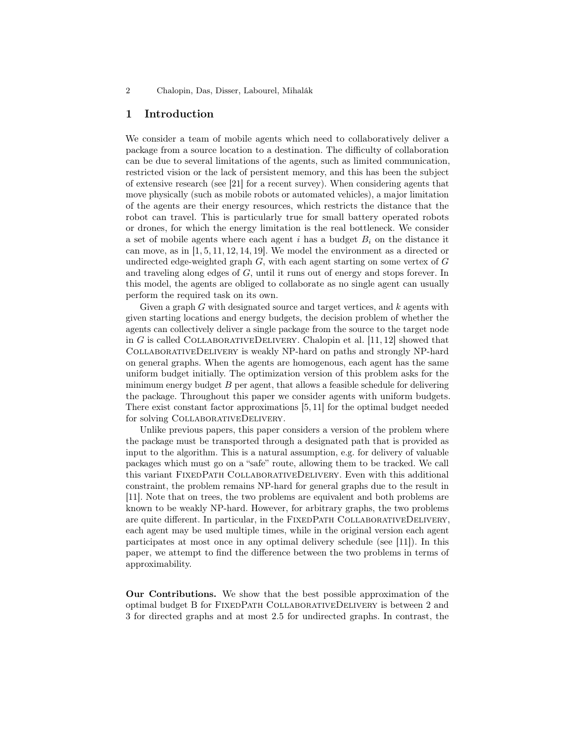## 1 Introduction

We consider a team of mobile agents which need to collaboratively deliver a package from a source location to a destination. The difficulty of collaboration can be due to several limitations of the agents, such as limited communication, restricted vision or the lack of persistent memory, and this has been the subject of extensive research (see [21] for a recent survey). When considering agents that move physically (such as mobile robots or automated vehicles), a major limitation of the agents are their energy resources, which restricts the distance that the robot can travel. This is particularly true for small battery operated robots or drones, for which the energy limitation is the real bottleneck. We consider a set of mobile agents where each agent  $i$  has a budget  $B_i$  on the distance it can move, as in  $[1, 5, 11, 12, 14, 19]$ . We model the environment as a directed or undirected edge-weighted graph  $G$ , with each agent starting on some vertex of  $G$ and traveling along edges of G, until it runs out of energy and stops forever. In this model, the agents are obliged to collaborate as no single agent can usually perform the required task on its own.

Given a graph  $G$  with designated source and target vertices, and  $k$  agents with given starting locations and energy budgets, the decision problem of whether the agents can collectively deliver a single package from the source to the target node in G is called COLLABORATIVEDELIVERY. Chalopin et al.  $[11, 12]$  showed that CollaborativeDelivery is weakly NP-hard on paths and strongly NP-hard on general graphs. When the agents are homogenous, each agent has the same uniform budget initially. The optimization version of this problem asks for the minimum energy budget  $B$  per agent, that allows a feasible schedule for delivering the package. Throughout this paper we consider agents with uniform budgets. There exist constant factor approximations [5, 11] for the optimal budget needed for solving COLLABORATIVEDELIVERY.

Unlike previous papers, this paper considers a version of the problem where the package must be transported through a designated path that is provided as input to the algorithm. This is a natural assumption, e.g. for delivery of valuable packages which must go on a "safe" route, allowing them to be tracked. We call this variant FIXEDPATH COLLABORATIVEDELIVERY. Even with this additional constraint, the problem remains NP-hard for general graphs due to the result in [11]. Note that on trees, the two problems are equivalent and both problems are known to be weakly NP-hard. However, for arbitrary graphs, the two problems are quite different. In particular, in the FIXEDPATH COLLABORATIVEDELIVERY, each agent may be used multiple times, while in the original version each agent participates at most once in any optimal delivery schedule (see [11]). In this paper, we attempt to find the difference between the two problems in terms of approximability.

Our Contributions. We show that the best possible approximation of the optimal budget B for FIXEDPATH COLLABORATIVEDELIVERY is between 2 and 3 for directed graphs and at most 2.5 for undirected graphs. In contrast, the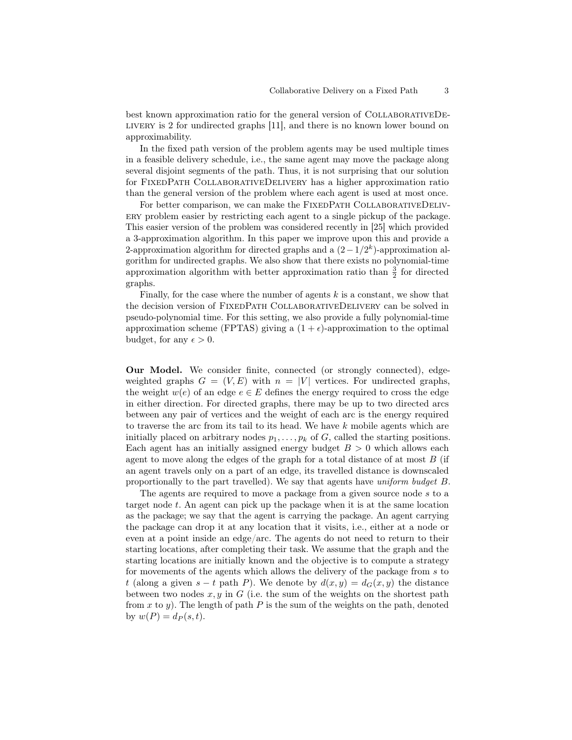best known approximation ratio for the general version of COLLABORATIVEDElivery is 2 for undirected graphs [11], and there is no known lower bound on approximability.

In the fixed path version of the problem agents may be used multiple times in a feasible delivery schedule, i.e., the same agent may move the package along several disjoint segments of the path. Thus, it is not surprising that our solution for FixedPath CollaborativeDelivery has a higher approximation ratio than the general version of the problem where each agent is used at most once.

For better comparison, we can make the FIXEDPATH COLLABORATIVEDELIVery problem easier by restricting each agent to a single pickup of the package. This easier version of the problem was considered recently in [25] which provided a 3-approximation algorithm. In this paper we improve upon this and provide a 2-approximation algorithm for directed graphs and a  $(2-1/2<sup>k</sup>)$ -approximation algorithm for undirected graphs. We also show that there exists no polynomial-time approximation algorithm with better approximation ratio than  $\frac{3}{2}$  for directed graphs.

Finally, for the case where the number of agents k is a constant, we show that the decision version of FIXEDPATH COLLABORATIVEDELIVERY can be solved in pseudo-polynomial time. For this setting, we also provide a fully polynomial-time approximation scheme (FPTAS) giving a  $(1 + \epsilon)$ -approximation to the optimal budget, for any  $\epsilon > 0$ .

Our Model. We consider finite, connected (or strongly connected), edgeweighted graphs  $G = (V, E)$  with  $n = |V|$  vertices. For undirected graphs, the weight  $w(e)$  of an edge  $e \in E$  defines the energy required to cross the edge in either direction. For directed graphs, there may be up to two directed arcs between any pair of vertices and the weight of each arc is the energy required to traverse the arc from its tail to its head. We have  $k$  mobile agents which are initially placed on arbitrary nodes  $p_1, \ldots, p_k$  of G, called the starting positions. Each agent has an initially assigned energy budget  $B > 0$  which allows each agent to move along the edges of the graph for a total distance of at most  $B$  (if an agent travels only on a part of an edge, its travelled distance is downscaled proportionally to the part travelled). We say that agents have uniform budget B.

The agents are required to move a package from a given source node s to a target node t. An agent can pick up the package when it is at the same location as the package; we say that the agent is carrying the package. An agent carrying the package can drop it at any location that it visits, i.e., either at a node or even at a point inside an edge/arc. The agents do not need to return to their starting locations, after completing their task. We assume that the graph and the starting locations are initially known and the objective is to compute a strategy for movements of the agents which allows the delivery of the package from s to t (along a given s – t path P). We denote by  $d(x, y) = d_G(x, y)$  the distance between two nodes  $x, y$  in G (i.e. the sum of the weights on the shortest path from x to y). The length of path  $P$  is the sum of the weights on the path, denoted by  $w(P) = d_P(s, t)$ .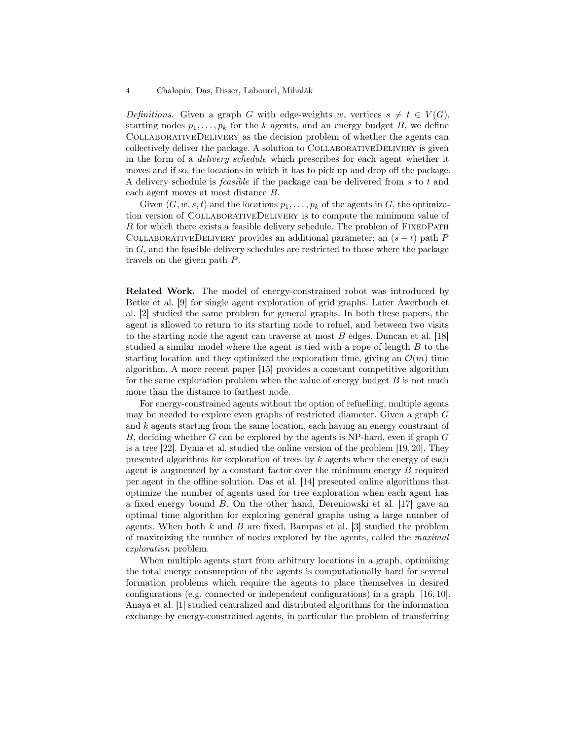Definitions. Given a graph G with edge-weights w, vertices  $s \neq t \in V(G)$ , starting nodes  $p_1, \ldots, p_k$  for the k agents, and an energy budget B, we define CollaborativeDelivery as the decision problem of whether the agents can collectively deliver the package. A solution to CollaborativeDelivery is given in the form of a delivery schedule which prescribes for each agent whether it moves and if so, the locations in which it has to pick up and drop off the package. A delivery schedule is feasible if the package can be delivered from s to t and each agent moves at most distance B.

Given  $(G, w, s, t)$  and the locations  $p_1, \ldots, p_k$  of the agents in G, the optimization version of CollaborativeDelivery is to compute the minimum value of  $B$  for which there exists a feasible delivery schedule. The problem of  $FIXEDPATH$ COLLABORATIVEDELIVERY provides an additional parameter: an  $(s - t)$  path P in G, and the feasible delivery schedules are restricted to those where the package travels on the given path P.

Related Work. The model of energy-constrained robot was introduced by Betke et al. [9] for single agent exploration of grid graphs. Later Awerbuch et al. [2] studied the same problem for general graphs. In both these papers, the agent is allowed to return to its starting node to refuel, and between two visits to the starting node the agent can traverse at most B edges. Duncan et al. [18] studied a similar model where the agent is tied with a rope of length B to the starting location and they optimized the exploration time, giving an  $\mathcal{O}(m)$  time algorithm. A more recent paper [15] provides a constant competitive algorithm for the same exploration problem when the value of energy budget  $B$  is not much more than the distance to farthest node.

For energy-constrained agents without the option of refuelling, multiple agents may be needed to explore even graphs of restricted diameter. Given a graph G and k agents starting from the same location, each having an energy constraint of B, deciding whether  $G$  can be explored by the agents is NP-hard, even if graph  $G$ is a tree [22]. Dynia et al. studied the online version of the problem [19, 20]. They presented algorithms for exploration of trees by  $k$  agents when the energy of each agent is augmented by a constant factor over the minimum energy B required per agent in the offline solution. Das et al. [14] presented online algorithms that optimize the number of agents used for tree exploration when each agent has a fixed energy bound B. On the other hand, Dereniowski et al. [17] gave an optimal time algorithm for exploring general graphs using a large number of agents. When both  $k$  and  $B$  are fixed, Bampas et al. [3] studied the problem of maximizing the number of nodes explored by the agents, called the maximal exploration problem.

When multiple agents start from arbitrary locations in a graph, optimizing the total energy consumption of the agents is computationally hard for several formation problems which require the agents to place themselves in desired configurations (e.g. connected or independent configurations) in a graph [16, 10]. Anaya et al. [1] studied centralized and distributed algorithms for the information exchange by energy-constrained agents, in particular the problem of transferring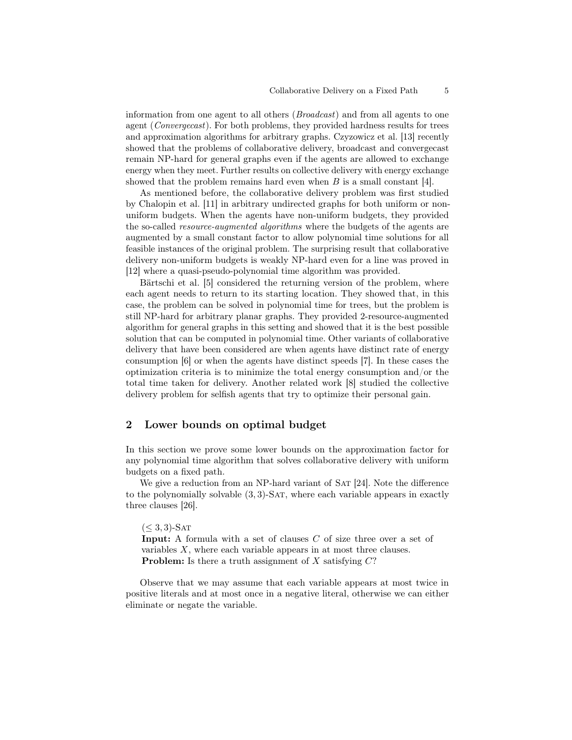information from one agent to all others (Broadcast) and from all agents to one agent (Convergecast). For both problems, they provided hardness results for trees and approximation algorithms for arbitrary graphs. Czyzowicz et al. [13] recently showed that the problems of collaborative delivery, broadcast and convergecast remain NP-hard for general graphs even if the agents are allowed to exchange energy when they meet. Further results on collective delivery with energy exchange showed that the problem remains hard even when  $B$  is a small constant [4].

As mentioned before, the collaborative delivery problem was first studied by Chalopin et al. [11] in arbitrary undirected graphs for both uniform or nonuniform budgets. When the agents have non-uniform budgets, they provided the so-called resource-augmented algorithms where the budgets of the agents are augmented by a small constant factor to allow polynomial time solutions for all feasible instances of the original problem. The surprising result that collaborative delivery non-uniform budgets is weakly NP-hard even for a line was proved in [12] where a quasi-pseudo-polynomial time algorithm was provided.

Bärtschi et al. [5] considered the returning version of the problem, where each agent needs to return to its starting location. They showed that, in this case, the problem can be solved in polynomial time for trees, but the problem is still NP-hard for arbitrary planar graphs. They provided 2-resource-augmented algorithm for general graphs in this setting and showed that it is the best possible solution that can be computed in polynomial time. Other variants of collaborative delivery that have been considered are when agents have distinct rate of energy consumption [6] or when the agents have distinct speeds [7]. In these cases the optimization criteria is to minimize the total energy consumption and/or the total time taken for delivery. Another related work [8] studied the collective delivery problem for selfish agents that try to optimize their personal gain.

## 2 Lower bounds on optimal budget

In this section we prove some lower bounds on the approximation factor for any polynomial time algorithm that solves collaborative delivery with uniform budgets on a fixed path.

We give a reduction from an NP-hard variant of SAT [24]. Note the difference to the polynomially solvable  $(3, 3)$ -SAT, where each variable appears in exactly three clauses [26].

 $(< 3, 3)$ -SAT **Input:** A formula with a set of clauses  $C$  of size three over a set of

variables  $X$ , where each variable appears in at most three clauses. **Problem:** Is there a truth assignment of X satisfying  $C$ ?

Observe that we may assume that each variable appears at most twice in positive literals and at most once in a negative literal, otherwise we can either eliminate or negate the variable.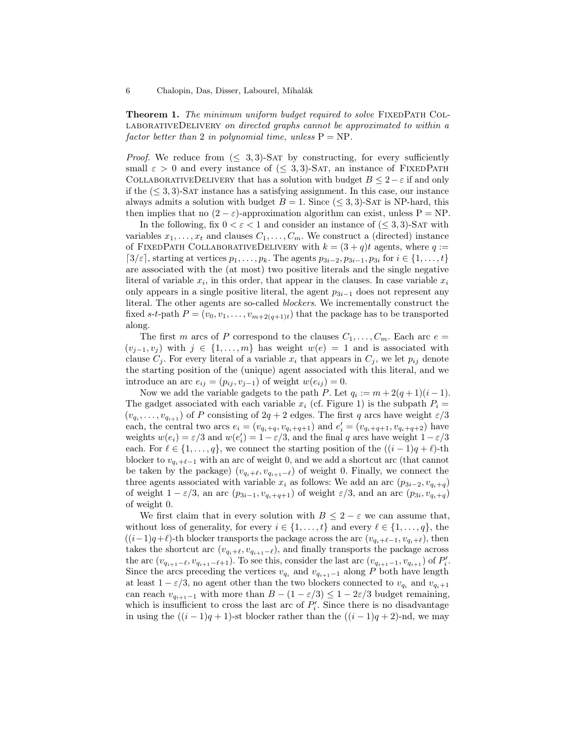**Theorem 1.** The minimum uniform budget required to solve FIXEDPATH COL-LABORATIVEDELIVERY on directed graphs cannot be approximated to within a factor better than 2 in polynomial time, unless  $P = NP$ .

*Proof.* We reduce from  $\leq 3.3$ -SAT by constructing, for every sufficiently small  $\varepsilon > 0$  and every instance of  $(\leq 3, 3)$ -SAT, an instance of FIXEDPATH COLLABORATIVEDELIVERY that has a solution with budget  $B \leq 2-\varepsilon$  if and only if the  $(\leq 3, 3)$ -SAT instance has a satisfying assignment. In this case, our instance always admits a solution with budget  $B = 1$ . Since  $(\leq 3, 3)$ -SAT is NP-hard, this then implies that no  $(2 - \varepsilon)$ -approximation algorithm can exist, unless P = NP.

In the following, fix  $0 < \varepsilon < 1$  and consider an instance of  $(\leq 3, 3)$ -SAT with variables  $x_1, \ldots, x_t$  and clauses  $C_1, \ldots, C_m$ . We construct a (directed) instance of FIXEDPATH COLLABORATIVEDELIVERY with  $k = (3 + q)t$  agents, where  $q :=$  $\{3/\varepsilon\}$ , starting at vertices  $p_1, \ldots, p_k$ . The agents  $p_{3i-2}, p_{3i-1}, p_{3i}$  for  $i \in \{1, \ldots, t\}$ are associated with the (at most) two positive literals and the single negative literal of variable  $x_i$ , in this order, that appear in the clauses. In case variable  $x_i$ only appears in a single positive literal, the agent  $p_{3i-1}$  does not represent any literal. The other agents are so-called blockers. We incrementally construct the fixed s-t-path  $P = (v_0, v_1, \ldots, v_{m+2(q+1)t})$  that the package has to be transported along.

The first m arcs of P correspond to the clauses  $C_1, \ldots, C_m$ . Each arc  $e =$  $(v_{j-1}, v_j)$  with  $j \in \{1, \ldots, m\}$  has weight  $w(e) = 1$  and is associated with clause  $C_j$ . For every literal of a variable  $x_i$  that appears in  $C_j$ , we let  $p_{ij}$  denote the starting position of the (unique) agent associated with this literal, and we introduce an arc  $e_{ij} = (p_{ij}, v_{j-1})$  of weight  $w(e_{ij}) = 0$ .

Now we add the variable gadgets to the path P. Let  $q_i := m + 2(q+1)(i-1)$ . The gadget associated with each variable  $x_i$  (cf. Figure 1) is the subpath  $P_i =$  $(v_{q_i}, \ldots, v_{q_{i+1}})$  of P consisting of  $2q + 2$  edges. The first q arcs have weight  $\varepsilon/3$ each, the central two arcs  $e_i = (v_{q_i+q}, v_{q_i+q+1})$  and  $e'_i = (v_{q_i+q+1}, v_{q_i+q+2})$  have weights  $w(e_i) = \varepsilon/3$  and  $w(e'_i) = 1 - \varepsilon/3$ , and the final q arcs have weight  $1 - \varepsilon/3$ each. For  $\ell \in \{1, \ldots, q\}$ , we connect the starting position of the  $((i - 1)q + \ell)$ -th blocker to  $v_{q_i+\ell-1}$  with an arc of weight 0, and we add a shortcut arc (that cannot be taken by the package)  $(v_{q_i+\ell}, v_{q_{i+1}-\ell})$  of weight 0. Finally, we connect the three agents associated with variable  $x_i$  as follows: We add an arc  $(p_{3i-2}, v_{q_i+q})$ of weight  $1 - \varepsilon/3$ , an arc  $(p_{3i-1}, v_{q_i+q+1})$  of weight  $\varepsilon/3$ , and an arc  $(p_{3i}, v_{q_i+q})$ of weight 0.

We first claim that in every solution with  $B \leq 2 - \varepsilon$  we can assume that, without loss of generality, for every  $i \in \{1, \ldots, t\}$  and every  $\ell \in \{1, \ldots, q\}$ , the  $((i-1)q+\ell)$ -th blocker transports the package across the arc  $(v_{q_i+\ell-1}, v_{q_i+\ell}),$  then takes the shortcut arc  $(v_{q_i+\ell}, v_{q_{i+1}-\ell})$ , and finally transports the package across the arc  $(v_{q_{i+1}-\ell}, v_{q_{i+1}-\ell+1})$ . To see this, consider the last arc  $(v_{q_{i+1}-1}, v_{q_{i+1}})$  of  $P'_i$ . Since the arcs preceding the vertices  $v_{q_i}$  and  $v_{q_{i+1}-1}$  along P both have length at least  $1 - \varepsilon/3$ , no agent other than the two blockers connected to  $v_{q_i}$  and  $v_{q_i+1}$ can reach  $v_{q_{i+1}-1}$  with more than  $B - (1 - \varepsilon/3) \leq 1 - 2\varepsilon/3$  budget remaining, which is insufficient to cross the last arc of  $P_i'$ . Since there is no disadvantage in using the  $((i - 1)q + 1)$ -st blocker rather than the  $((i - 1)q + 2)$ -nd, we may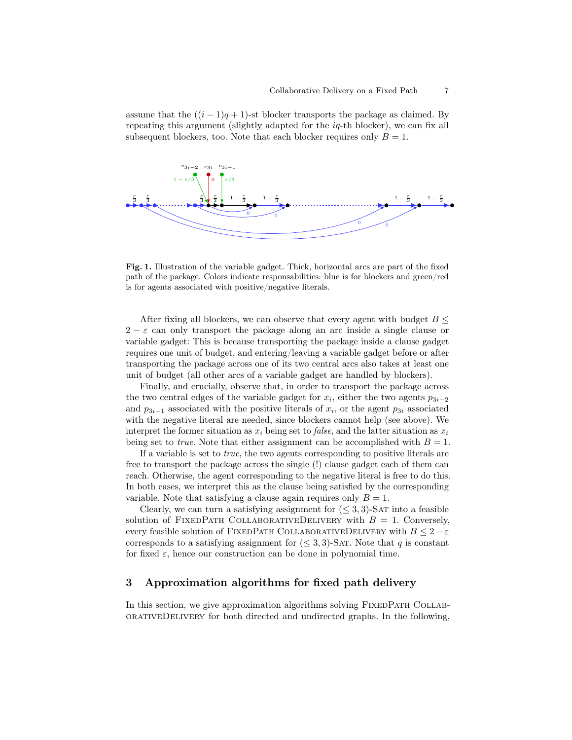

Fig. 1. Illustration of the variable gadget. Thick, horizontal arcs are part of the fixed path of the package. Colors indicate responsabilities: blue is for blockers and green/red is for agents associated with positive/negative literals.

After fixing all blockers, we can observe that every agent with budget  $B \leq$  $2 - \varepsilon$  can only transport the package along an arc inside a single clause or variable gadget: This is because transporting the package inside a clause gadget requires one unit of budget, and entering/leaving a variable gadget before or after transporting the package across one of its two central arcs also takes at least one unit of budget (all other arcs of a variable gadget are handled by blockers).

Finally, and crucially, observe that, in order to transport the package across the two central edges of the variable gadget for  $x_i$ , either the two agents  $p_{3i-2}$ and  $p_{3i-1}$  associated with the positive literals of  $x_i$ , or the agent  $p_{3i}$  associated with the negative literal are needed, since blockers cannot help (see above). We interpret the former situation as  $x_i$  being set to *false*, and the latter situation as  $x_i$ being set to *true*. Note that either assignment can be accomplished with  $B = 1$ .

If a variable is set to true, the two agents corresponding to positive literals are free to transport the package across the single (!) clause gadget each of them can reach. Otherwise, the agent corresponding to the negative literal is free to do this. In both cases, we interpret this as the clause being satisfied by the corresponding variable. Note that satisfying a clause again requires only  $B = 1$ .

Clearly, we can turn a satisfying assignment for  $(\leq 3, 3)$ -SAT into a feasible solution of FIXEDPATH COLLABORATIVEDELIVERY with  $B = 1$ . Conversely, every feasible solution of FIXEDPATH COLLABORATIVEDELIVERY with  $B \leq 2 - \varepsilon$ corresponds to a satisfying assignment for  $(< 3, 3)$ -SAT. Note that q is constant for fixed  $\varepsilon$ , hence our construction can be done in polynomial time.

# 3 Approximation algorithms for fixed path delivery

In this section, we give approximation algorithms solving FIXEDPATH COLLABorativeDelivery for both directed and undirected graphs. In the following,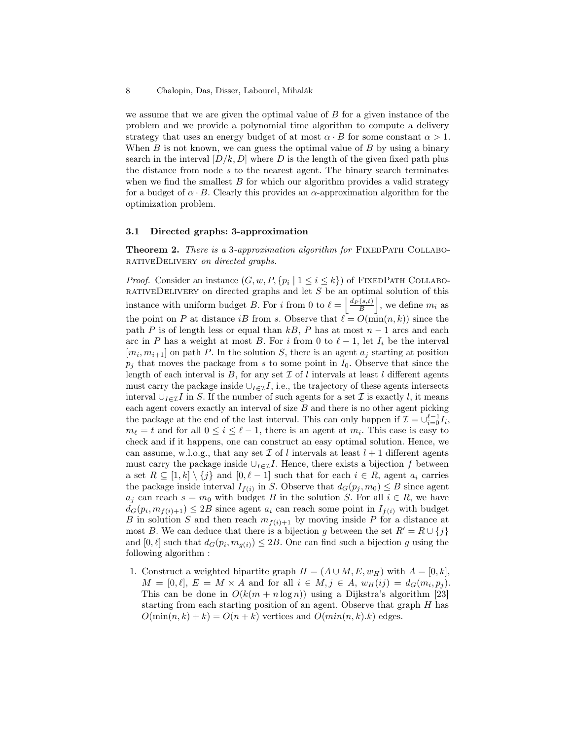we assume that we are given the optimal value of  $B$  for a given instance of the problem and we provide a polynomial time algorithm to compute a delivery strategy that uses an energy budget of at most  $\alpha \cdot B$  for some constant  $\alpha > 1$ . When  $B$  is not known, we can guess the optimal value of  $B$  by using a binary search in the interval  $[D/k, D]$  where D is the length of the given fixed path plus the distance from node  $s$  to the nearest agent. The binary search terminates when we find the smallest  $B$  for which our algorithm provides a valid strategy for a budget of  $\alpha \cdot B$ . Clearly this provides an  $\alpha$ -approximation algorithm for the optimization problem.

#### 3.1 Directed graphs: 3-approximation

Theorem 2. There is a 3-approximation algorithm for FIXEDPATH COLLABO-RATIVEDELIVERY on directed graphs.

*Proof.* Consider an instance  $(G, w, P, \{p_i \mid 1 \leq i \leq k\})$  of FIXEDPATH COLLABO-RATIVEDELIVERY on directed graphs and let  $S$  be an optimal solution of this instance with uniform budget B. For i from 0 to  $\ell = \left\lfloor \frac{d_P(s,t)}{B} \right\rfloor$ , we define  $m_i$  as the point on P at distance iB from s. Observe that  $\ell = O(\min(n, k))$  since the path P is of length less or equal than kB, P has at most  $n-1$  arcs and each arc in P has a weight at most B. For i from 0 to  $\ell - 1$ , let  $I_i$  be the interval  $[m_i, m_{i+1}]$  on path P. In the solution S, there is an agent  $a_j$  starting at position  $p_j$  that moves the package from s to some point in  $I_0$ . Observe that since the length of each interval is  $B$ , for any set  $\mathcal I$  of l intervals at least l different agents must carry the package inside  $\bigcup_{I\in\mathcal{I}} I$ , i.e., the trajectory of these agents intersects interval  $\bigcup_{I\in\mathcal{I}}I$  in S. If the number of such agents for a set  $\mathcal I$  is exactly l, it means each agent covers exactly an interval of size  $B$  and there is no other agent picking the package at the end of the last interval. This can only happen if  $\mathcal{I} = \bigcup_{i=0}^{\ell-1} I_i$ ,  $m_{\ell} = t$  and for all  $0 \leq i \leq \ell - 1$ , there is an agent at  $m_i$ . This case is easy to check and if it happens, one can construct an easy optimal solution. Hence, we can assume, w.l.o.g., that any set  $\mathcal I$  of l intervals at least  $l+1$  different agents must carry the package inside  $\bigcup_{I\in\mathcal{I}}I$ . Hence, there exists a bijection f between a set  $R \subseteq [1, k] \setminus \{j\}$  and  $[0, \ell - 1]$  such that for each  $i \in R$ , agent  $a_i$  carries the package inside interval  $I_{f(i)}$  in S. Observe that  $d_G(p_j, m_0) \leq B$  since agent  $a_i$  can reach  $s = m_0$  with budget B in the solution S. For all  $i \in R$ , we have  $d_G(p_i, m_{f(i)+1}) \leq 2B$  since agent  $a_i$  can reach some point in  $I_{f(i)}$  with budget B in solution S and then reach  $m_{f(i)+1}$  by moving inside P for a distance at most B. We can deduce that there is a bijection g between the set  $R' = R \cup \{j\}$ and  $[0, \ell]$  such that  $d_G(p_i, m_{g(i)}) \leq 2B$ . One can find such a bijection g using the following algorithm :

1. Construct a weighted bipartite graph  $H = (A \cup M, E, w_H)$  with  $A = [0, k],$  $M = [0, \ell], E = M \times A$  and for all  $i \in M, j \in A$ ,  $w_H(ij) = d_G(m_i, p_j)$ . This can be done in  $O(k(m + n \log n))$  using a Dijkstra's algorithm [23] starting from each starting position of an agent. Observe that graph H has  $O(\min(n, k) + k) = O(n + k)$  vertices and  $O(\min(n, k).k)$  edges.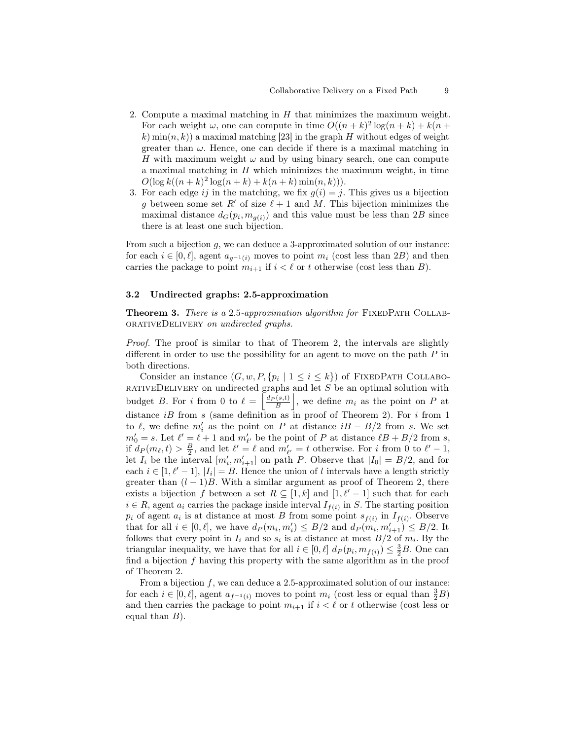- 2. Compute a maximal matching in  $H$  that minimizes the maximum weight. For each weight  $\omega$ , one can compute in time  $O((n+k)^2 \log(n+k) + k(n+k))$ k) min $(n, k)$  a maximal matching [23] in the graph H without edges of weight greater than  $\omega$ . Hence, one can decide if there is a maximal matching in H with maximum weight  $\omega$  and by using binary search, one can compute a maximal matching in  $H$  which minimizes the maximum weight, in time  $O(\log k((n+k)^2 \log(n+k) + k(n+k) \min(n,k))).$
- 3. For each edge ij in the matching, we fix  $g(i) = j$ . This gives us a bijection g between some set R' of size  $\ell + 1$  and M. This bijection minimizes the maximal distance  $d_G(p_i, m_{g(i)})$  and this value must be less than 2B since there is at least one such bijection.

From such a bijection g, we can deduce a 3-approximated solution of our instance: for each  $i \in [0, \ell]$ , agent  $a_{g^{-1}(i)}$  moves to point  $m_i$  (cost less than 2B) and then carries the package to point  $m_{i+1}$  if  $i < \ell$  or t otherwise (cost less than B).

#### 3.2 Undirected graphs: 2.5-approximation

Theorem 3. There is a 2.5-approximation algorithm for FIXEDPATH COLLAB-ORATIVEDELIVERY on undirected graphs.

Proof. The proof is similar to that of Theorem 2, the intervals are slightly different in order to use the possibility for an agent to move on the path  $P$  in both directions.

Consider an instance  $(G, w, P, \{p_i \mid 1 \leq i \leq k\})$  of FIXEDPATH COLLABO-RATIVEDELIVERY on undirected graphs and let  $S$  be an optimal solution with budget B. For i from 0 to  $\ell = \left| \frac{d_P(s,t)}{B} \right|$ , we define  $m_i$  as the point on P at distance  $iB$  from s (same definition as in proof of Theorem 2). For i from 1 to  $\ell$ , we define  $m'_i$  as the point on P at distance  $iB - B/2$  from s. We set  $m'_0 = s$ . Let  $\ell' = \ell + 1$  and  $m'_{\ell'}$  be the point of P at distance  $\ell B + B/2$  from s, if  $d_P(m_\ell, t) > \frac{B}{2}$ , and let  $\ell' = \ell$  and  $m'_{\ell'} = t$  otherwise. For i from 0 to  $\ell' - 1$ , let  $I_i$  be the interval  $[m'_i, m'_{i+1}]$  on path P. Observe that  $|I_0| = B/2$ , and for each  $i \in [1, \ell' - 1]$ ,  $|I_i| = B$ . Hence the union of l intervals have a length strictly greater than  $(l-1)B$ . With a similar argument as proof of Theorem 2, there exists a bijection f between a set  $R \subseteq [1, k]$  and  $[1, \ell' - 1]$  such that for each  $i \in R$ , agent  $a_i$  carries the package inside interval  $I_{f(i)}$  in S. The starting position  $p_i$  of agent  $a_i$  is at distance at most B from some point  $s_{f(i)}$  in  $I_{f(i)}$ . Observe that for all  $i \in [0, \ell],$  we have  $d_P(m_i, m'_i) \leq B/2$  and  $d_P(m_i, m'_{i+1}) \leq B/2$ . It follows that every point in  $I_i$  and so  $s_i$  is at distance at most  $B/2$  of  $m_i$ . By the triangular inequality, we have that for all  $i \in [0, \ell]$   $d_P (p_i, m_{f(i)}) \leq \frac{3}{2}B$ . One can find a bijection  $f$  having this property with the same algorithm as in the proof of Theorem 2.

From a bijection  $f$ , we can deduce a 2.5-approximated solution of our instance: for each  $i \in [0, \ell]$ , agent  $a_{f^{-1}(i)}$  moves to point  $m_i$  (cost less or equal than  $\frac{3}{2}B$ ) and then carries the package to point  $m_{i+1}$  if  $i < \ell$  or t otherwise (cost less or equal than  $B$ ).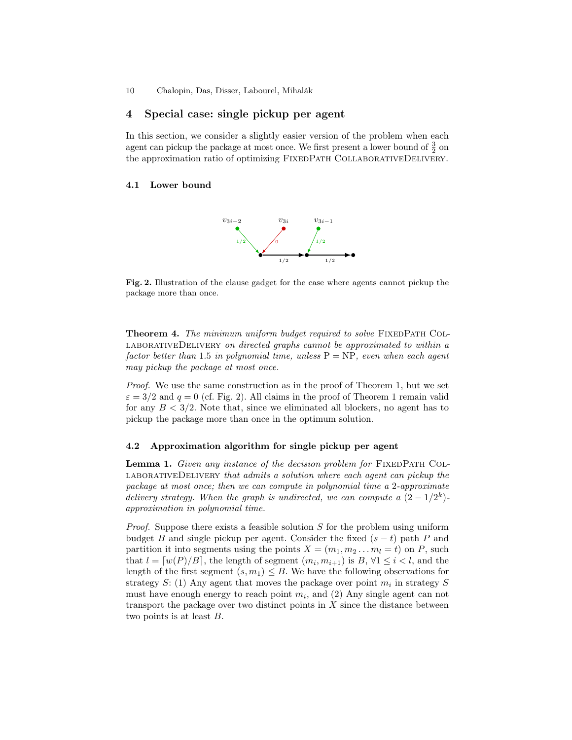## 4 Special case: single pickup per agent

In this section, we consider a slightly easier version of the problem when each agent can pickup the package at most once. We first present a lower bound of  $\frac{3}{2}$  on the approximation ratio of optimizing FIXEDPATH COLLABORATIVEDELIVERY.

#### 4.1 Lower bound



Fig. 2. Illustration of the clause gadget for the case where agents cannot pickup the package more than once.

Theorem 4. The minimum uniform budget required to solve FIXEDPATH COL- $L$ ABORATIVEDELIVERY on directed graphs cannot be approximated to within a factor better than 1.5 in polynomial time, unless  $P = NP$ , even when each agent may pickup the package at most once.

Proof. We use the same construction as in the proof of Theorem 1, but we set  $\varepsilon = 3/2$  and  $q = 0$  (cf. Fig. 2). All claims in the proof of Theorem 1 remain valid for any  $B < 3/2$ . Note that, since we eliminated all blockers, no agent has to pickup the package more than once in the optimum solution.

#### 4.2 Approximation algorithm for single pickup per agent

Lemma 1. Given any instance of the decision problem for FIXEDPATH COLlaborativeDelivery that admits a solution where each agent can pickup the package at most once; then we can compute in polynomial time a 2-approximate delivery strategy. When the graph is undirected, we can compute a  $(2 - 1/2^k)$ approximation in polynomial time.

*Proof.* Suppose there exists a feasible solution  $S$  for the problem using uniform budget B and single pickup per agent. Consider the fixed  $(s - t)$  path P and partition it into segments using the points  $X = (m_1, m_2, \ldots, m_l = t)$  on P, such that  $l = \lceil w(P)/B \rceil$ , the length of segment  $(m_i, m_{i+1})$  is  $B, \forall 1 \leq i < l$ , and the length of the first segment  $(s, m_1) \leq B$ . We have the following observations for strategy  $S: (1)$  Any agent that moves the package over point  $m_i$  in strategy  $S$ must have enough energy to reach point  $m_i$ , and (2) Any single agent can not transport the package over two distinct points in  $X$  since the distance between two points is at least B.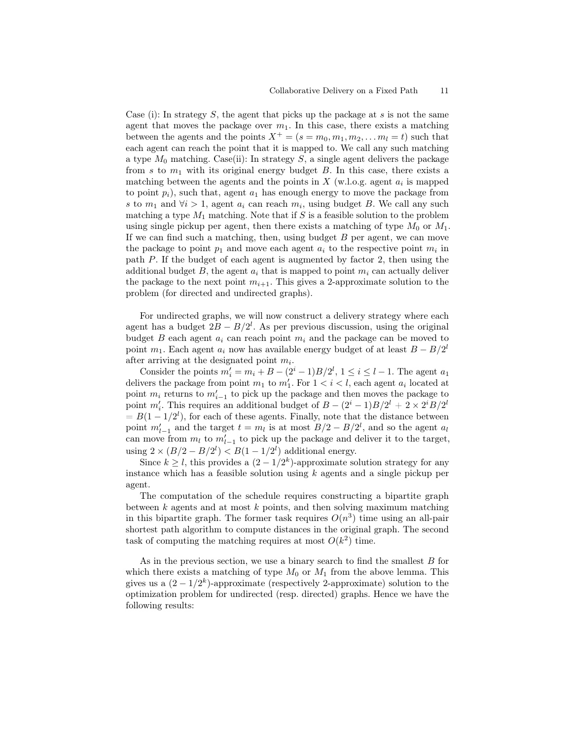Case (i): In strategy  $S$ , the agent that picks up the package at s is not the same agent that moves the package over  $m_1$ . In this case, there exists a matching between the agents and the points  $X^+ = (s = m_0, m_1, m_2, \dots m_l = t)$  such that each agent can reach the point that it is mapped to. We call any such matching a type  $M_0$  matching. Case(ii): In strategy  $S$ , a single agent delivers the package from s to  $m_1$  with its original energy budget B. In this case, there exists a matching between the agents and the points in  $X$  (w.l.o.g. agent  $a_i$  is mapped to point  $p_i$ ), such that, agent  $a_1$  has enough energy to move the package from s to  $m_1$  and  $\forall i > 1$ , agent  $a_i$  can reach  $m_i$ , using budget B. We call any such matching a type  $M_1$  matching. Note that if S is a feasible solution to the problem using single pickup per agent, then there exists a matching of type  $M_0$  or  $M_1$ . If we can find such a matching, then, using budget  $B$  per agent, we can move the package to point  $p_1$  and move each agent  $a_i$  to the respective point  $m_i$  in path P. If the budget of each agent is augmented by factor 2, then using the additional budget B, the agent  $a_i$  that is mapped to point  $m_i$  can actually deliver the package to the next point  $m_{i+1}$ . This gives a 2-approximate solution to the problem (for directed and undirected graphs).

For undirected graphs, we will now construct a delivery strategy where each agent has a budget  $2B - B/2^l$ . As per previous discussion, using the original budget  $B$  each agent  $a_i$  can reach point  $m_i$  and the package can be moved to point  $m_1$ . Each agent  $a_i$  now has available energy budget of at least  $B - B/2^l$ after arriving at the designated point  $m_i$ .

Consider the points  $m'_i = m_i + B - (2^i - 1)B/2^l$ ,  $1 \le i \le l - 1$ . The agent  $a_1$ delivers the package from point  $m_1$  to  $m'_1$ . For  $1 < i < l$ , each agent  $a_i$  located at point  $m_i$  returns to  $m'_{i-1}$  to pick up the package and then moves the package to point  $m'_i$ . This requires an additional budget of  $B - (2^i - 1)B/2^l + 2 \times 2^i B/2^l$  $= B(1 - 1/2^{l})$ , for each of these agents. Finally, note that the distance between point  $m'_{l-1}$  and the target  $t = m_l$  is at most  $B/2 - B/2^l$ , and so the agent  $a_l$ can move from  $m_l$  to  $m'_{l-1}$  to pick up the package and deliver it to the target, using  $2 \times (B/2 - B/2^l) < B(1 - 1/2^l)$  additional energy.

Since  $k \geq l$ , this provides a  $(2 - 1/2<sup>k</sup>)$ -approximate solution strategy for any instance which has a feasible solution using  $k$  agents and a single pickup per agent.

The computation of the schedule requires constructing a bipartite graph between  $k$  agents and at most  $k$  points, and then solving maximum matching in this bipartite graph. The former task requires  $O(n^3)$  time using an all-pair shortest path algorithm to compute distances in the original graph. The second task of computing the matching requires at most  $O(k^2)$  time.

As in the previous section, we use a binary search to find the smallest B for which there exists a matching of type  $M_0$  or  $M_1$  from the above lemma. This gives us a  $(2 - 1/2<sup>k</sup>)$ -approximate (respectively 2-approximate) solution to the optimization problem for undirected (resp. directed) graphs. Hence we have the following results: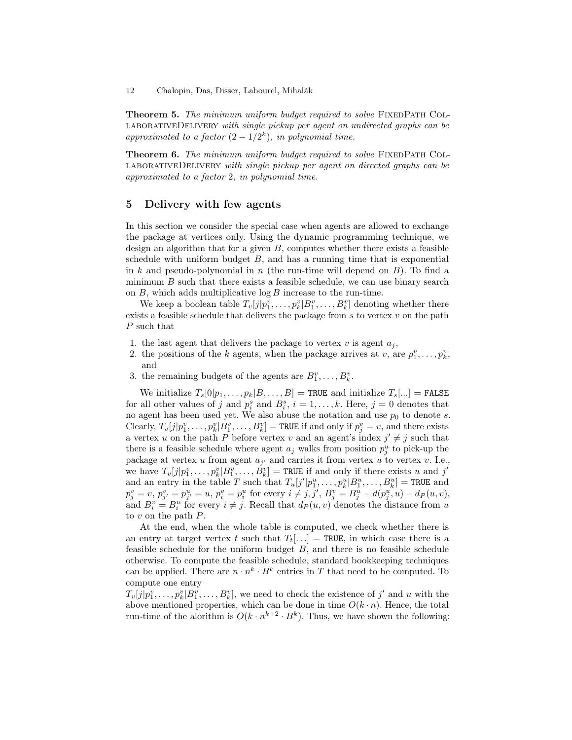**Theorem 5.** The minimum uniform budget required to solve FIXEDPATH COL-LABORATIVEDELIVERY with single pickup per agent on undirected graphs can be approximated to a factor  $(2 - 1/2<sup>k</sup>)$ , in polynomial time.

Theorem 6. The minimum uniform budget required to solve FIXEDPATH COL-LABORATIVEDELIVERY with single pickup per agent on directed graphs can be approximated to a factor 2, in polynomial time.

## 5 Delivery with few agents

In this section we consider the special case when agents are allowed to exchange the package at vertices only. Using the dynamic programming technique, we design an algorithm that for a given  $B$ , computes whether there exists a feasible schedule with uniform budget  $B$ , and has a running time that is exponential in k and pseudo-polynomial in n (the run-time will depend on  $B$ ). To find a minimum  $B$  such that there exists a feasible schedule, we can use binary search on  $B$ , which adds multiplicative  $\log B$  increase to the run-time.

We keep a boolean table  $T_v[j|p_1^v,\ldots,p_k^v|B_1^v,\ldots,B_k^v]$  denoting whether there exists a feasible schedule that delivers the package from  $s$  to vertex  $v$  on the path P such that

- 1. the last agent that delivers the package to vertex  $v$  is agent  $a_j$ ,
- 2. the positions of the k agents, when the package arrives at v, are  $p_1^v, \ldots, p_k^v$ , and
- 3. the remaining budgets of the agents are  $B_1^v, \ldots, B_k^v$ .

We initialize  $T_s[0|p_1,\ldots,p_k|B,\ldots,B]$  = TRUE and initialize  $T_s[\ldots]$  = FALSE for all other values of j and  $p_i^s$  and  $B_i^s$ ,  $i = 1, ..., k$ . Here,  $j = 0$  denotes that no agent has been used yet. We also abuse the notation and use  $p_0$  to denote s. Clearly,  $T_v[j]p_1^v, \ldots, p_k^v|B_1^v, \ldots, B_k^v$  = TRUE if and only if  $p_j^v = v$ , and there exists a vertex u on the path P before vertex v and an agent's index  $j' \neq j$  such that there is a feasible schedule where agent  $a_j$  walks from position  $p_j^u$  to pick-up the package at vertex u from agent  $a_{j'}$  and carries it from vertex u to vertex v. I.e., we have  $T_v[j|p_1^v,\ldots,p_k^v|B_1^v,\ldots,B_k^v] = \text{TRUE}$  if and only if there exists u and j' and an entry in the table T such that  $T_u[j'|p_1^u,\ldots,p_k^u|B_1^u,\ldots,B_k^u] = \texttt{TRUE}$  and  $p_j^v = v, p_{j'}^v = p_{j'}^u = u, p_i^v = p_i^u$  for every  $i \neq j, j', B_j^v = B_j^u - d(p_j^u, u) - d_P(u, v)$ , and  $B_i^v = B_i^u$  for every  $i \neq j$ . Recall that  $d_P(u, v)$  denotes the distance from u to  $v$  on the path  $P$ .

At the end, when the whole table is computed, we check whether there is an entry at target vertex t such that  $T_t[\ldots] = \text{TRUE}$ , in which case there is a feasible schedule for the uniform budget  $B$ , and there is no feasible schedule otherwise. To compute the feasible schedule, standard bookkeeping techniques can be applied. There are  $n \cdot n^k \cdot B^k$  entries in T that need to be computed. To compute one entry

 $T_v[j|p_1^v,\ldots,p_k^v|B_1^v,\ldots,B_k^v]$ , we need to check the existence of  $j'$  and u with the above mentioned properties, which can be done in time  $O(k \cdot n)$ . Hence, the total run-time of the alorithm is  $O(k \cdot n^{k+2} \cdot B^k)$ . Thus, we have shown the following: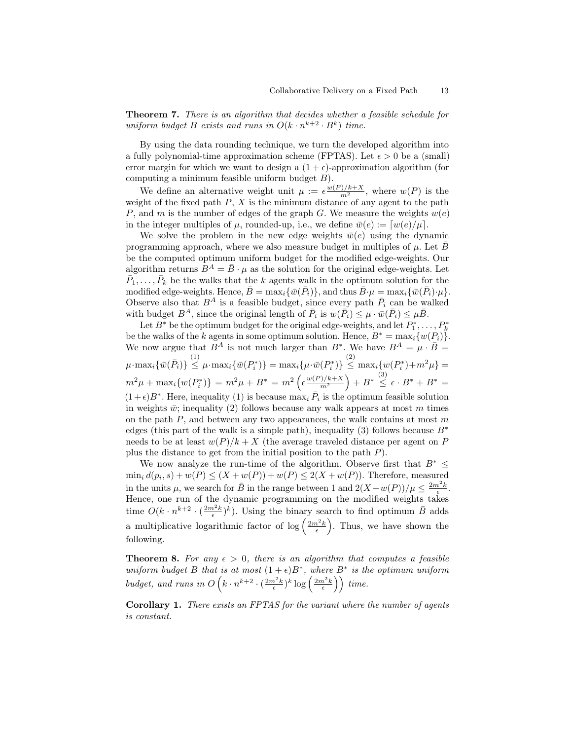Theorem 7. There is an algorithm that decides whether a feasible schedule for uniform budget B exists and runs in  $O(k \cdot n^{k+2} \cdot B^k)$  time.

By using the data rounding technique, we turn the developed algorithm into a fully polynomial-time approximation scheme (FPTAS). Let  $\epsilon > 0$  be a (small) error margin for which we want to design a  $(1 + \epsilon)$ -approximation algorithm (for computing a minimum feasible uniform budget  $B$ ).

We define an alternative weight unit  $\mu := \epsilon \frac{w(P)/k+X}{m^2}$ , where  $w(P)$  is the weight of the fixed path  $P$ ,  $X$  is the minimum distance of any agent to the path P, and m is the number of edges of the graph G. We measure the weights  $w(e)$ in the integer multiples of  $\mu$ , rounded-up, i.e., we define  $\bar{w}(e) := [w(e)/\mu]$ .

We solve the problem in the new edge weights  $\bar{w}(e)$  using the dynamic programming approach, where we also measure budget in multiples of  $\mu$ . Let B be the computed optimum uniform budget for the modified edge-weights. Our algorithm returns  $B^A = \overline{B} \cdot \mu$  as the solution for the original edge-weights. Let  $\overline{P_1}, \ldots, \overline{P_k}$  be the walks that the k agents walk in the optimum solution for the modified edge-weights. Hence,  $\bar{B} = \max_i \{ \bar{w}(\bar{P}_i) \}$ , and thus  $\bar{B} \cdot \mu = \max_i \{ \bar{w}(\bar{P}_i) \cdot \mu \}$ . Observe also that  $B^A$  is a feasible budget, since every path  $\bar{P}_i$  can be walked with budget  $B^A$ , since the original length of  $\overline{P}_i$  is  $w(\overline{P}_i) \leq \mu \cdot \overline{w}(\overline{P}_i) \leq \mu \overline{B}$ .

Let  $B^*$  be the optimum budget for the original edge-weights, and let  $P_1^*, \ldots, P_k^*$ be the walks of the k agents in some optimum solution. Hence,  $B^* = \max_i \{w(P_i)\}.$ We now argue that  $B^A$  is not much larger than  $B^*$ . We have  $B^A = \mu \cdot \overline{B} =$  $\mu \cdot \max_i \{\bar{w}(\bar{P}_i)\} \overset{(1)}{\leq} \mu \cdot \max_i \{\bar{w}(P_i^*)\} = \max_i \{\mu \cdot \bar{w}(P_i^*)\} \overset{(2)}{\leq} \max_i \{w(P_i^*) + m^2\mu\} =$  $m^2\mu + \max_i \{w(P^*_i)\} = m^2\mu + B^* = m^2\left(\epsilon \frac{w(P)/k + X}{m^2}\right) + B^* \stackrel{(3)}{\leq} \epsilon \cdot B^* + B^* = 0$  $(1+\epsilon)B^*$ . Here, inequality (1) is because  $\max_i \overline{P}_i$  is the optimum feasible solution in weights  $\bar{w}$ ; inequality (2) follows because any walk appears at most m times on the path  $P$ , and between any two appearances, the walk contains at most  $m$ edges (this part of the walk is a simple path), inequality (3) follows because  $B^*$ needs to be at least  $w(P)/k + X$  (the average traveled distance per agent on P plus the distance to get from the initial position to the path P).

We now analyze the run-time of the algorithm. Observe first that  $B^*$  <  $\min_i d(p_i, s) + w(P) \leq (X + w(P)) + w(P) \leq 2(X + w(P)).$  Therefore, measured in the units  $\mu$ , we search for  $\bar{B}$  in the range between 1 and  $2(X+w(P))/\mu \leq \frac{2m^2k}{\epsilon}$ . Hence, one run of the dynamic programming on the modified weights takes time  $O(k \cdot n^{k+2} \cdot (\frac{2m^2k}{\epsilon})^k)$ . Using the binary search to find optimum  $\bar{B}$  adds a multiplicative logarithmic factor of  $\log\left(\frac{2m^2k}{\epsilon}\right)$ . Thus, we have shown the following.

**Theorem 8.** For any  $\epsilon > 0$ , there is an algorithm that computes a feasible uniform budget B that is at most  $(1+\epsilon)B^*$ , where  $B^*$  is the optimum uniform budget, and runs in  $O\left(k \cdot n^{k+2} \cdot \left(\frac{2m^2k}{\epsilon}\right)^k \log\left(\frac{2m^2k}{\epsilon}\right)\right)$  time.

Corollary 1. There exists an FPTAS for the variant where the number of agents is constant.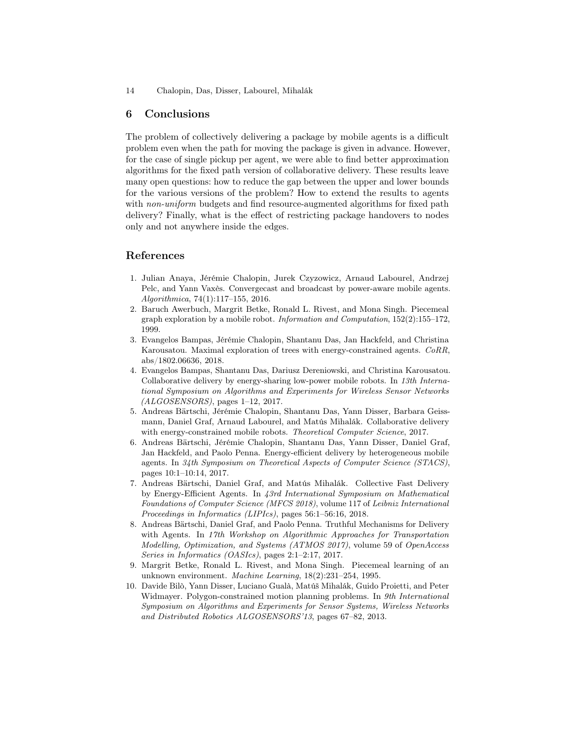## 6 Conclusions

The problem of collectively delivering a package by mobile agents is a difficult problem even when the path for moving the package is given in advance. However, for the case of single pickup per agent, we were able to find better approximation algorithms for the fixed path version of collaborative delivery. These results leave many open questions: how to reduce the gap between the upper and lower bounds for the various versions of the problem? How to extend the results to agents with *non-uniform* budgets and find resource-augmented algorithms for fixed path delivery? Finally, what is the effect of restricting package handovers to nodes only and not anywhere inside the edges.

## References

- 1. Julian Anaya, Jérémie Chalopin, Jurek Czyzowicz, Arnaud Labourel, Andrzej Pelc, and Yann Vaxès. Convergecast and broadcast by power-aware mobile agents. Algorithmica, 74(1):117–155, 2016.
- 2. Baruch Awerbuch, Margrit Betke, Ronald L. Rivest, and Mona Singh. Piecemeal graph exploration by a mobile robot. Information and Computation, 152(2):155–172, 1999.
- 3. Evangelos Bampas, Jérémie Chalopin, Shantanu Das, Jan Hackfeld, and Christina Karousatou. Maximal exploration of trees with energy-constrained agents. CoRR, abs/1802.06636, 2018.
- 4. Evangelos Bampas, Shantanu Das, Dariusz Dereniowski, and Christina Karousatou. Collaborative delivery by energy-sharing low-power mobile robots. In 13th International Symposium on Algorithms and Experiments for Wireless Sensor Networks  $(ALGOSENSORS)$ , pages 1-12, 2017.
- 5. Andreas Bärtschi, Jérémie Chalopin, Shantanu Das, Yann Disser, Barbara Geissmann, Daniel Graf, Arnaud Labourel, and Matús Mihalák. Collaborative delivery with energy-constrained mobile robots. Theoretical Computer Science, 2017.
- 6. Andreas Bärtschi, Jérémie Chalopin, Shantanu Das, Yann Disser, Daniel Graf, Jan Hackfeld, and Paolo Penna. Energy-efficient delivery by heterogeneous mobile agents. In 34th Symposium on Theoretical Aspects of Computer Science (STACS), pages 10:1–10:14, 2017.
- 7. Andreas Bärtschi, Daniel Graf, and Matús Mihalák. Collective Fast Delivery by Energy-Efficient Agents. In 43rd International Symposium on Mathematical Foundations of Computer Science (MFCS 2018), volume 117 of Leibniz International Proceedings in Informatics (LIPIcs), pages 56:1–56:16, 2018.
- 8. Andreas Bärtschi, Daniel Graf, and Paolo Penna. Truthful Mechanisms for Delivery with Agents. In 17th Workshop on Algorithmic Approaches for Transportation Modelling, Optimization, and Systems (ATMOS 2017), volume 59 of OpenAccess Series in Informatics (OASIcs), pages 2:1–2:17, 2017.
- 9. Margrit Betke, Ronald L. Rivest, and Mona Singh. Piecemeal learning of an unknown environment. Machine Learning, 18(2):231–254, 1995.
- 10. Davide Bilò, Yann Disser, Luciano Gualà, Matúš Mihalák, Guido Proietti, and Peter Widmayer. Polygon-constrained motion planning problems. In 9th International Symposium on Algorithms and Experiments for Sensor Systems, Wireless Networks and Distributed Robotics ALGOSENSORS'13, pages 67–82, 2013.